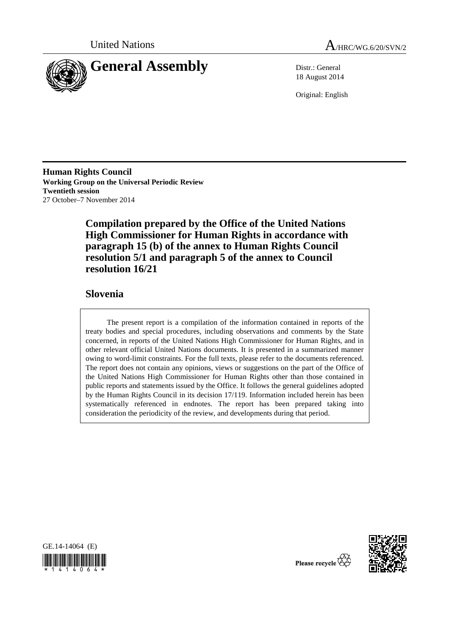



18 August 2014

Original: English

**Human Rights Council Working Group on the Universal Periodic Review Twentieth session**  27 October–7 November 2014

> **Compilation prepared by the Office of the United Nations High Commissioner for Human Rights in accordance with paragraph 15 (b) of the annex to Human Rights Council resolution 5/1 and paragraph 5 of the annex to Council resolution 16/21**

## **Slovenia**

The present report is a compilation of the information contained in reports of the treaty bodies and special procedures, including observations and comments by the State concerned, in reports of the United Nations High Commissioner for Human Rights, and in other relevant official United Nations documents. It is presented in a summarized manner owing to word-limit constraints. For the full texts, please refer to the documents referenced. The report does not contain any opinions, views or suggestions on the part of the Office of the United Nations High Commissioner for Human Rights other than those contained in public reports and statements issued by the Office. It follows the general guidelines adopted by the Human Rights Council in its decision 17/119. Information included herein has been systematically referenced in endnotes. The report has been prepared taking into consideration the periodicity of the review, and developments during that period.





Please recycle  $\overleftrightarrow{C}$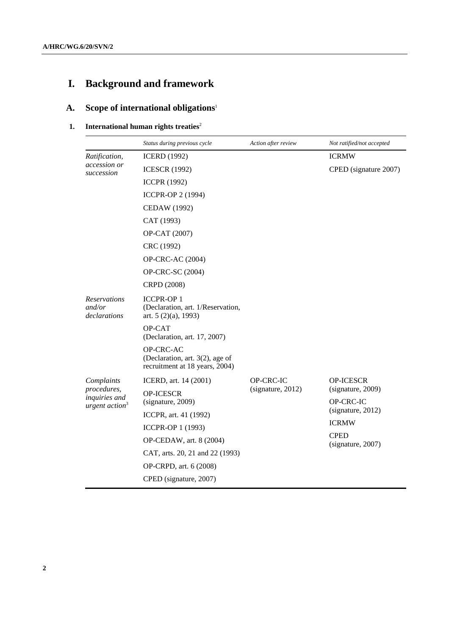# **I. Background and framework**

## **A. Scope of international obligations**<sup>1</sup>

## **1.** International human rights treaties<sup>2</sup>

|                                                  | Status during previous cycle                                                    | Action after review | Not ratified/not accepted                                                                               |
|--------------------------------------------------|---------------------------------------------------------------------------------|---------------------|---------------------------------------------------------------------------------------------------------|
| Ratification,                                    | <b>ICERD</b> (1992)                                                             |                     | <b>ICRMW</b>                                                                                            |
| accession or<br>succession                       | <b>ICESCR (1992)</b>                                                            |                     | CPED (signature 2007)                                                                                   |
|                                                  | <b>ICCPR (1992)</b>                                                             |                     |                                                                                                         |
|                                                  | <b>ICCPR-OP 2 (1994)</b>                                                        |                     |                                                                                                         |
|                                                  | <b>CEDAW</b> (1992)                                                             |                     |                                                                                                         |
|                                                  | CAT (1993)                                                                      |                     |                                                                                                         |
|                                                  | OP-CAT (2007)                                                                   |                     |                                                                                                         |
|                                                  | CRC (1992)                                                                      |                     |                                                                                                         |
|                                                  | <b>OP-CRC-AC (2004)</b>                                                         |                     |                                                                                                         |
|                                                  | OP-CRC-SC (2004)                                                                |                     |                                                                                                         |
|                                                  | CRPD (2008)                                                                     |                     |                                                                                                         |
| <b>Reservations</b><br>and/or<br>declarations    | <b>ICCPR-OP1</b><br>(Declaration, art. 1/Reservation,<br>art. $5(2)(a)$ , 1993) |                     |                                                                                                         |
|                                                  | OP-CAT<br>(Declaration, art. 17, 2007)                                          |                     |                                                                                                         |
|                                                  | OP-CRC-AC<br>(Declaration, art. 3(2), age of<br>recruitment at 18 years, 2004)  |                     |                                                                                                         |
| Complaints                                       | ICERD, art. 14 (2001)                                                           | OP-CRC-IC           | <b>OP-ICESCR</b>                                                                                        |
| procedures,<br>inquiries and<br>urgent $action3$ | <b>OP-ICESCR</b><br>(signature, 2009)                                           | (signature, 2012)   | (signature, 2009)<br>OP-CRC-IC<br>(signature, 2012)<br><b>ICRMW</b><br><b>CPED</b><br>(signature, 2007) |
|                                                  | ICCPR, art. 41 (1992)                                                           |                     |                                                                                                         |
|                                                  | ICCPR-OP 1 (1993)                                                               |                     |                                                                                                         |
|                                                  | OP-CEDAW, art. 8 (2004)                                                         |                     |                                                                                                         |
|                                                  | CAT, arts. 20, 21 and 22 (1993)                                                 |                     |                                                                                                         |
|                                                  | OP-CRPD, art. 6 (2008)                                                          |                     |                                                                                                         |
|                                                  | CPED (signature, 2007)                                                          |                     |                                                                                                         |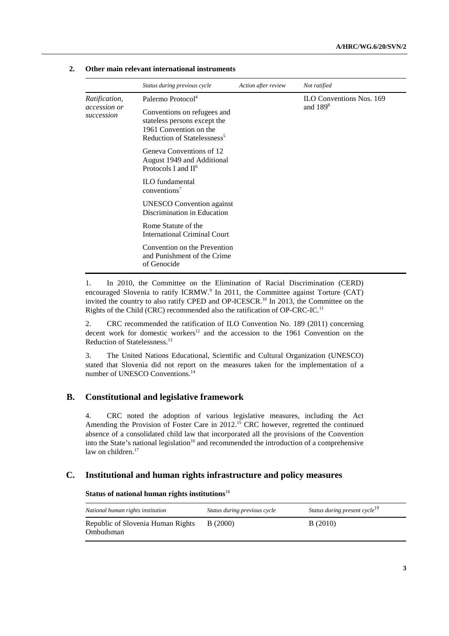|                            | Status during previous cycle                                                                                                     | Action after review | Not ratified                    |
|----------------------------|----------------------------------------------------------------------------------------------------------------------------------|---------------------|---------------------------------|
| <i>Ratification,</i>       | Palermo Protocol <sup>4</sup>                                                                                                    |                     | <b>ILO Conventions Nos. 169</b> |
| accession or<br>succession | Conventions on refugees and<br>stateless persons except the<br>1961 Convention on the<br>Reduction of Statelessness <sup>5</sup> |                     | and $1898$                      |
|                            | Geneva Conventions of 12<br>August 1949 and Additional<br>Protocols I and $II^6$                                                 |                     |                                 |
|                            | <b>ILO</b> fundamental<br>conventions <sup>7</sup>                                                                               |                     |                                 |
|                            | <b>UNESCO</b> Convention against<br>Discrimination in Education                                                                  |                     |                                 |
|                            | Rome Statute of the<br><b>International Criminal Court</b>                                                                       |                     |                                 |
|                            | Convention on the Prevention<br>and Punishment of the Crime<br>of Genocide                                                       |                     |                                 |

#### **2. Other main relevant international instruments**

1. In 2010, the Committee on the Elimination of Racial Discrimination (CERD) encouraged Slovenia to ratify ICRMW.<sup>9</sup> In 2011, the Committee against Torture (CAT) invited the country to also ratify CPED and OP-ICESCR.<sup>10</sup> In 2013, the Committee on the Rights of the Child (CRC) recommended also the ratification of OP-CRC-IC.<sup>11</sup>

2. CRC recommended the ratification of ILO Convention No. 189 (2011) concerning decent work for domestic workers<sup>12</sup> and the accession to the 1961 Convention on the Reduction of Statelessness.13

3. The United Nations Educational, Scientific and Cultural Organization (UNESCO) stated that Slovenia did not report on the measures taken for the implementation of a number of UNESCO Conventions.<sup>14</sup>

## **B. Constitutional and legislative framework**

4. CRC noted the adoption of various legislative measures, including the Act Amending the Provision of Foster Care in 2012.<sup>15</sup> CRC however, regretted the continued absence of a consolidated child law that incorporated all the provisions of the Convention into the State's national legislation<sup>16</sup> and recommended the introduction of a comprehensive law on children. $17$ 

### **C. Institutional and human rights infrastructure and policy measures**

#### **Status of national human rights institutions**<sup>18</sup>

| National human rights institution              | Status during previous cycle | Status during present cycle <sup>19</sup> |
|------------------------------------------------|------------------------------|-------------------------------------------|
| Republic of Slovenia Human Rights<br>Ombudsman | <b>B</b> (2000)              | B(2010)                                   |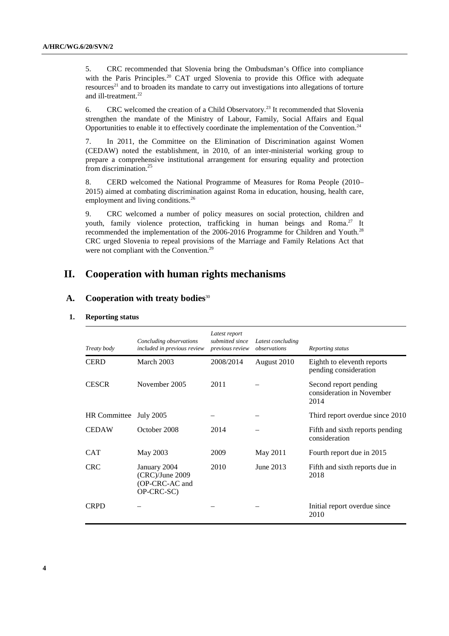5. CRC recommended that Slovenia bring the Ombudsman's Office into compliance with the Paris Principles.<sup>20</sup> CAT urged Slovenia to provide this Office with adequate resources<sup>21</sup> and to broaden its mandate to carry out investigations into allegations of torture and ill-treatment.<sup>22</sup>

6. CRC welcomed the creation of a Child Observatory.23 It recommended that Slovenia strengthen the mandate of the Ministry of Labour, Family, Social Affairs and Equal Opportunities to enable it to effectively coordinate the implementation of the Convention.<sup>24</sup>

7. In 2011, the Committee on the Elimination of Discrimination against Women (CEDAW) noted the establishment, in 2010, of an inter-ministerial working group to prepare a comprehensive institutional arrangement for ensuring equality and protection from discrimination. $^{25}$ 

8. CERD welcomed the National Programme of Measures for Roma People (2010– 2015) aimed at combating discrimination against Roma in education, housing, health care, employment and living conditions.<sup>26</sup>

9. CRC welcomed a number of policy measures on social protection, children and youth, family violence protection, trafficking in human beings and Roma.<sup>27</sup> It recommended the implementation of the 2006-2016 Programme for Children and Youth.<sup>28</sup> CRC urged Slovenia to repeal provisions of the Marriage and Family Relations Act that were not compliant with the Convention.<sup>29</sup>

## **II. Cooperation with human rights mechanisms**

## **A. Cooperation with treaty bodies**<sup>30</sup>

| <b>Reporting status</b> |  |
|-------------------------|--|
|                         |  |

| Treaty body         | Concluding observations<br>included in previous review            | Latest report<br>submitted since<br>previous review | Latest concluding<br>observations | Reporting status                                           |
|---------------------|-------------------------------------------------------------------|-----------------------------------------------------|-----------------------------------|------------------------------------------------------------|
| <b>CERD</b>         | March 2003                                                        | 2008/2014                                           | August 2010                       | Eighth to eleventh reports<br>pending consideration        |
| <b>CESCR</b>        | November 2005                                                     | 2011                                                |                                   | Second report pending<br>consideration in November<br>2014 |
| <b>HR</b> Committee | <b>July 2005</b>                                                  |                                                     |                                   | Third report overdue since 2010                            |
| <b>CEDAW</b>        | October 2008                                                      | 2014                                                |                                   | Fifth and sixth reports pending<br>consideration           |
| <b>CAT</b>          | May 2003                                                          | 2009                                                | May 2011                          | Fourth report due in 2015                                  |
| <b>CRC</b>          | January 2004<br>$(CRC)/June$ 2009<br>(OP-CRC-AC and<br>OP-CRC-SC) | 2010                                                | June 2013                         | Fifth and sixth reports due in<br>2018                     |
| <b>CRPD</b>         |                                                                   |                                                     |                                   | Initial report overdue since<br>2010                       |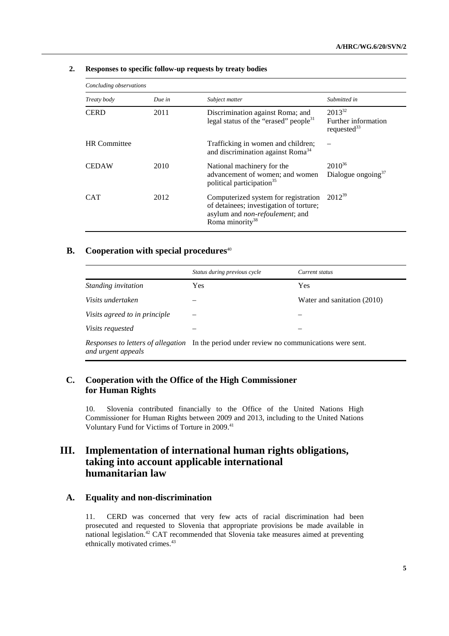| Concluding observations |        |                                                                                                                                                           |                                                      |
|-------------------------|--------|-----------------------------------------------------------------------------------------------------------------------------------------------------------|------------------------------------------------------|
| Treaty body             | Due in | Subject matter                                                                                                                                            | Submitted in                                         |
| <b>CERD</b>             | 2011   | Discrimination against Roma; and<br>legal status of the "erased" people $31$                                                                              | $2013^{32}$<br>Further information<br>requested $33$ |
| <b>HR</b> Committee     |        | Trafficking in women and children;<br>and discrimination against Roma <sup>34</sup>                                                                       |                                                      |
| <b>CEDAW</b>            | 2010   | National machinery for the<br>advancement of women; and women<br>political participation <sup>35</sup>                                                    | $2010^{36}$<br>Dialogue ongoing $37$                 |
| <b>CAT</b>              | 2012   | Computerized system for registration<br>of detainees; investigation of torture;<br>asylum and <i>non-refoulement</i> ; and<br>Roma minority <sup>38</sup> | $2012^{39}$                                          |

#### **2. Responses to specific follow-up requests by treaty bodies**

## **B.** Cooperation with special procedures<sup>40</sup>

|                               | Status during previous cycle                                                               | Current status              |  |
|-------------------------------|--------------------------------------------------------------------------------------------|-----------------------------|--|
| Standing invitation           | <b>Yes</b>                                                                                 | Yes                         |  |
| Visits undertaken             |                                                                                            | Water and sanitation (2010) |  |
| Visits agreed to in principle |                                                                                            |                             |  |
| <i>Visits requested</i>       |                                                                                            |                             |  |
| and urgent appeals            | Responses to letters of allegation In the period under review no communications were sent. |                             |  |

## **C. Cooperation with the Office of the High Commissioner for Human Rights**

10. Slovenia contributed financially to the Office of the United Nations High Commissioner for Human Rights between 2009 and 2013, including to the United Nations Voluntary Fund for Victims of Torture in 2009.<sup>41</sup>

## **III. Implementation of international human rights obligations, taking into account applicable international humanitarian law**

## **A. Equality and non-discrimination**

11. CERD was concerned that very few acts of racial discrimination had been prosecuted and requested to Slovenia that appropriate provisions be made available in national legislation.<sup>42</sup> CAT recommended that Slovenia take measures aimed at preventing ethnically motivated crimes.<sup>43</sup>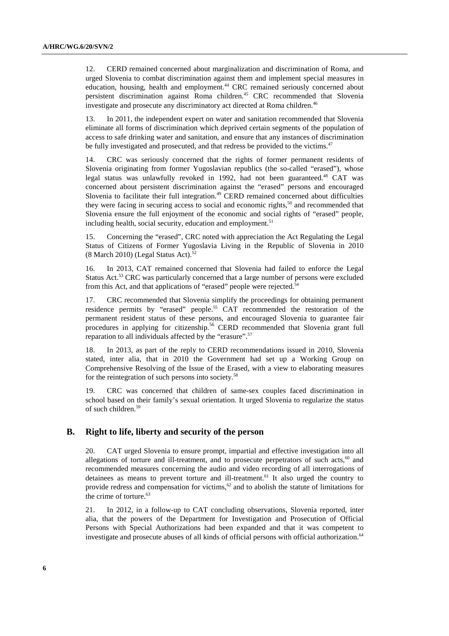12. CERD remained concerned about marginalization and discrimination of Roma, and urged Slovenia to combat discrimination against them and implement special measures in education, housing, health and employment.44 CRC remained seriously concerned about persistent discrimination against Roma children.45 CRC recommended that Slovenia investigate and prosecute any discriminatory act directed at Roma children.<sup>46</sup>

13. In 2011, the independent expert on water and sanitation recommended that Slovenia eliminate all forms of discrimination which deprived certain segments of the population of access to safe drinking water and sanitation, and ensure that any instances of discrimination be fully investigated and prosecuted, and that redress be provided to the victims.<sup>47</sup>

14. CRC was seriously concerned that the rights of former permanent residents of Slovenia originating from former Yugoslavian republics (the so-called "erased"), whose legal status was unlawfully revoked in 1992, had not been guaranteed.<sup>48</sup> CAT was concerned about persistent discrimination against the "erased" persons and encouraged Slovenia to facilitate their full integration.<sup>49</sup> CERD remained concerned about difficulties they were facing in securing access to social and economic rights, $5<sup>50</sup>$  and recommended that Slovenia ensure the full enjoyment of the economic and social rights of "erased" people, including health, social security, education and employment.<sup>51</sup>

15. Concerning the "erased", CRC noted with appreciation the Act Regulating the Legal Status of Citizens of Former Yugoslavia Living in the Republic of Slovenia in 2010 (8 March 2010) (Legal Status Act). $52$ 

16. In 2013, CAT remained concerned that Slovenia had failed to enforce the Legal Status Act.53 CRC was particularly concerned that a large number of persons were excluded from this Act, and that applications of "erased" people were rejected.<sup>54</sup>

17. CRC recommended that Slovenia simplify the proceedings for obtaining permanent residence permits by "erased" people.55 CAT recommended the restoration of the permanent resident status of these persons, and encouraged Slovenia to guarantee fair procedures in applying for citizenship.<sup>56</sup> CERD recommended that Slovenia grant full reparation to all individuals affected by the "erasure".<sup>57</sup>

18. In 2013, as part of the reply to CERD recommendations issued in 2010, Slovenia stated, inter alia, that in 2010 the Government had set up a Working Group on Comprehensive Resolving of the Issue of the Erased, with a view to elaborating measures for the reintegration of such persons into society.<sup>58</sup>

19. CRC was concerned that children of same-sex couples faced discrimination in school based on their family's sexual orientation. It urged Slovenia to regularize the status of such children.59

#### **B. Right to life, liberty and security of the person**

20. CAT urged Slovenia to ensure prompt, impartial and effective investigation into all allegations of torture and ill-treatment, and to prosecute perpetrators of such acts, $60$  and recommended measures concerning the audio and video recording of all interrogations of detainees as means to prevent torture and ill-treatment.<sup>61</sup> It also urged the country to provide redress and compensation for victims,  $62$  and to abolish the statute of limitations for the crime of torture.<sup>63</sup>

21. In 2012, in a follow-up to CAT concluding observations, Slovenia reported, inter alia, that the powers of the Department for Investigation and Prosecution of Official Persons with Special Authorizations had been expanded and that it was competent to investigate and prosecute abuses of all kinds of official persons with official authorization.<sup>64</sup>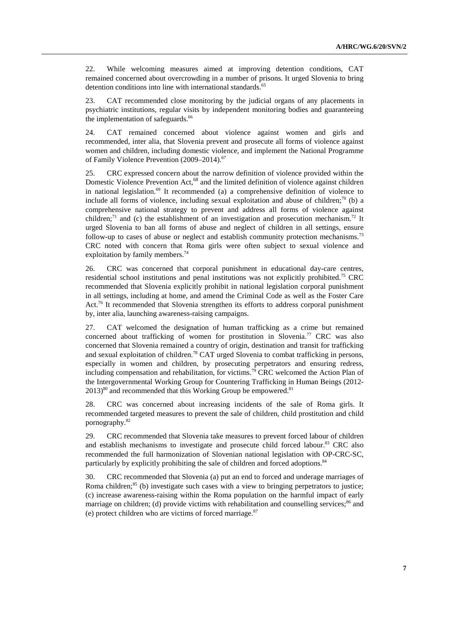22. While welcoming measures aimed at improving detention conditions, CAT remained concerned about overcrowding in a number of prisons. It urged Slovenia to bring detention conditions into line with international standards.<sup>65</sup>

23. CAT recommended close monitoring by the judicial organs of any placements in psychiatric institutions, regular visits by independent monitoring bodies and guaranteeing the implementation of safeguards.<sup>66</sup>

24. CAT remained concerned about violence against women and girls and recommended, inter alia, that Slovenia prevent and prosecute all forms of violence against women and children, including domestic violence, and implement the National Programme of Family Violence Prevention (2009–2014).<sup>67</sup>

25. CRC expressed concern about the narrow definition of violence provided within the Domestic Violence Prevention Act,<sup>68</sup> and the limited definition of violence against children in national legislation. $69$  It recommended (a) a comprehensive definition of violence to include all forms of violence, including sexual exploitation and abuse of children;<sup>70</sup> (b) a comprehensive national strategy to prevent and address all forms of violence against children; $^{71}$  and (c) the establishment of an investigation and prosecution mechanism.<sup>72</sup> It urged Slovenia to ban all forms of abuse and neglect of children in all settings, ensure follow-up to cases of abuse or neglect and establish community protection mechanisms.<sup>73</sup> CRC noted with concern that Roma girls were often subject to sexual violence and exploitation by family members.<sup>74</sup>

26. CRC was concerned that corporal punishment in educational day-care centres, residential school institutions and penal institutions was not explicitly prohibited.75 CRC recommended that Slovenia explicitly prohibit in national legislation corporal punishment in all settings, including at home, and amend the Criminal Code as well as the Foster Care Act.<sup>76</sup> It recommended that Slovenia strengthen its efforts to address corporal punishment by, inter alia, launching awareness-raising campaigns.

27. CAT welcomed the designation of human trafficking as a crime but remained concerned about trafficking of women for prostitution in Slovenia.<sup>77</sup> CRC was also concerned that Slovenia remained a country of origin, destination and transit for trafficking and sexual exploitation of children.<sup>78</sup> CAT urged Slovenia to combat trafficking in persons, especially in women and children, by prosecuting perpetrators and ensuring redress, including compensation and rehabilitation, for victims.<sup>79</sup> CRC welcomed the Action Plan of the Intergovernmental Working Group for Countering Trafficking in Human Beings (2012-  $2013$ <sup>80</sup> and recommended that this Working Group be empowered.<sup>81</sup>

28. CRC was concerned about increasing incidents of the sale of Roma girls. It recommended targeted measures to prevent the sale of children, child prostitution and child pornography.82

29. CRC recommended that Slovenia take measures to prevent forced labour of children and establish mechanisms to investigate and prosecute child forced labour.<sup>83</sup> CRC also recommended the full harmonization of Slovenian national legislation with OP-CRC-SC, particularly by explicitly prohibiting the sale of children and forced adoptions.<sup>84</sup>

30. CRC recommended that Slovenia (a) put an end to forced and underage marriages of Roma children;<sup>85</sup> (b) investigate such cases with a view to bringing perpetrators to justice; (c) increase awareness-raising within the Roma population on the harmful impact of early marriage on children; (d) provide victims with rehabilitation and counselling services; $^{86}$  and (e) protect children who are victims of forced marriage. $87$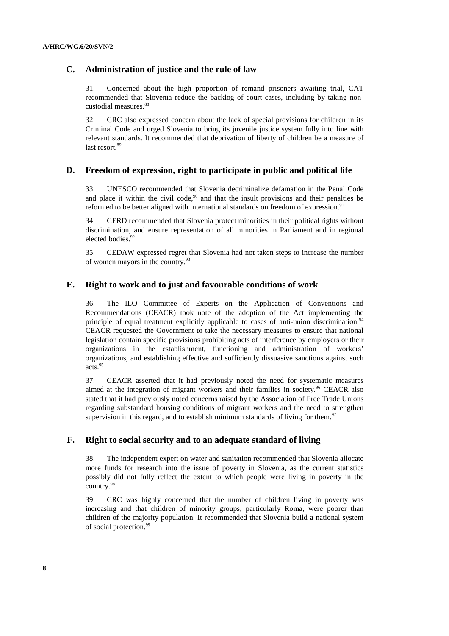## **C. Administration of justice and the rule of law**

31. Concerned about the high proportion of remand prisoners awaiting trial, CAT recommended that Slovenia reduce the backlog of court cases, including by taking noncustodial measures.<sup>88</sup>

32. CRC also expressed concern about the lack of special provisions for children in its Criminal Code and urged Slovenia to bring its juvenile justice system fully into line with relevant standards. It recommended that deprivation of liberty of children be a measure of last resort<sup>89</sup>

#### **D. Freedom of expression, right to participate in public and political life**

33. UNESCO recommended that Slovenia decriminalize defamation in the Penal Code and place it within the civil code, $90$  and that the insult provisions and their penalties be reformed to be better aligned with international standards on freedom of expression.<sup>91</sup>

34. CERD recommended that Slovenia protect minorities in their political rights without discrimination, and ensure representation of all minorities in Parliament and in regional elected bodies.<sup>92</sup>

35. CEDAW expressed regret that Slovenia had not taken steps to increase the number of women mayors in the country.93

## **E. Right to work and to just and favourable conditions of work**

36. The ILO Committee of Experts on the Application of Conventions and Recommendations (CEACR) took note of the adoption of the Act implementing the principle of equal treatment explicitly applicable to cases of anti-union discrimination.<sup>94</sup> CEACR requested the Government to take the necessary measures to ensure that national legislation contain specific provisions prohibiting acts of interference by employers or their organizations in the establishment, functioning and administration of workers' organizations, and establishing effective and sufficiently dissuasive sanctions against such acts.95

37. CEACR asserted that it had previously noted the need for systematic measures aimed at the integration of migrant workers and their families in society.96 CEACR also stated that it had previously noted concerns raised by the Association of Free Trade Unions regarding substandard housing conditions of migrant workers and the need to strengthen supervision in this regard, and to establish minimum standards of living for them. $97$ 

## **F. Right to social security and to an adequate standard of living**

38. The independent expert on water and sanitation recommended that Slovenia allocate more funds for research into the issue of poverty in Slovenia, as the current statistics possibly did not fully reflect the extent to which people were living in poverty in the country.98

39. CRC was highly concerned that the number of children living in poverty was increasing and that children of minority groups, particularly Roma, were poorer than children of the majority population. It recommended that Slovenia build a national system of social protection.<sup>99</sup>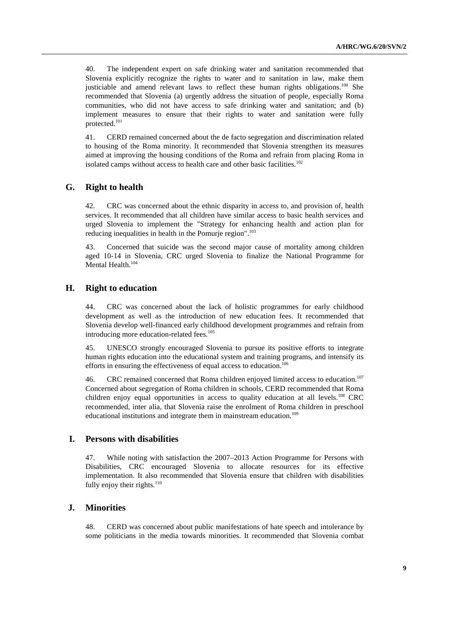40. The independent expert on safe drinking water and sanitation recommended that Slovenia explicitly recognize the rights to water and to sanitation in law, make them justiciable and amend relevant laws to reflect these human rights obligations.<sup>100</sup> She recommended that Slovenia (a) urgently address the situation of people, especially Roma communities, who did not have access to safe drinking water and sanitation; and (b) implement measures to ensure that their rights to water and sanitation were fully protected.101

41. CERD remained concerned about the de facto segregation and discrimination related to housing of the Roma minority. It recommended that Slovenia strengthen its measures aimed at improving the housing conditions of the Roma and refrain from placing Roma in isolated camps without access to health care and other basic facilities.<sup>102</sup>

## **G. Right to health**

42. CRC was concerned about the ethnic disparity in access to, and provision of, health services. It recommended that all children have similar access to basic health services and urged Slovenia to implement the "Strategy for enhancing health and action plan for reducing inequalities in health in the Pomurje region".<sup>103</sup>

43. Concerned that suicide was the second major cause of mortality among children aged 10-14 in Slovenia, CRC urged Slovenia to finalize the National Programme for Mental Health.<sup>104</sup>

## **H. Right to education**

44. CRC was concerned about the lack of holistic programmes for early childhood development as well as the introduction of new education fees. It recommended that Slovenia develop well-financed early childhood development programmes and refrain from introducing more education-related fees.<sup>105</sup>

45. UNESCO strongly encouraged Slovenia to pursue its positive efforts to integrate human rights education into the educational system and training programs, and intensify its efforts in ensuring the effectiveness of equal access to education.<sup>106</sup>

46. CRC remained concerned that Roma children enjoyed limited access to education.107 Concerned about segregation of Roma children in schools, CERD recommended that Roma children enjoy equal opportunities in access to quality education at all levels.<sup>108</sup> CRC recommended, inter alia, that Slovenia raise the enrolment of Roma children in preschool educational institutions and integrate them in mainstream education.<sup>109</sup>

#### **I. Persons with disabilities**

47. While noting with satisfaction the 2007–2013 Action Programme for Persons with Disabilities, CRC encouraged Slovenia to allocate resources for its effective implementation. It also recommended that Slovenia ensure that children with disabilities fully enjoy their rights. $110$ 

## **J. Minorities**

48. CERD was concerned about public manifestations of hate speech and intolerance by some politicians in the media towards minorities. It recommended that Slovenia combat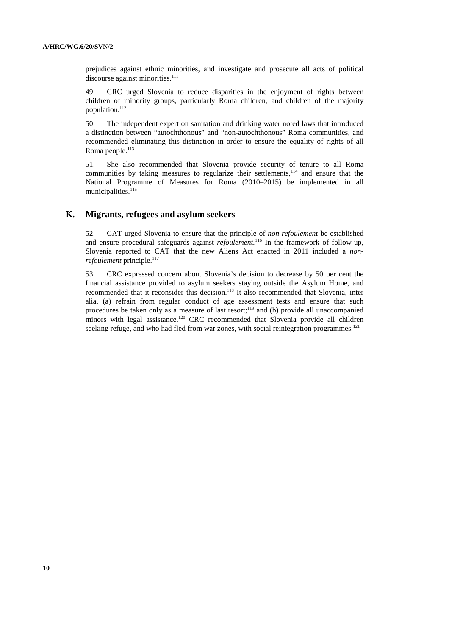prejudices against ethnic minorities, and investigate and prosecute all acts of political discourse against minorities.<sup>111</sup>

49. CRC urged Slovenia to reduce disparities in the enjoyment of rights between children of minority groups, particularly Roma children, and children of the majority population.<sup>112</sup>

50. The independent expert on sanitation and drinking water noted laws that introduced a distinction between "autochthonous" and "non-autochthonous" Roma communities, and recommended eliminating this distinction in order to ensure the equality of rights of all Roma people.<sup>113</sup>

51. She also recommended that Slovenia provide security of tenure to all Roma communities by taking measures to regularize their settlements, $114$  and ensure that the National Programme of Measures for Roma (2010–2015) be implemented in all municipalities. $115$ 

#### **K. Migrants, refugees and asylum seekers**

52. CAT urged Slovenia to ensure that the principle of *non-refoulement* be established and ensure procedural safeguards against *refoulement.*116 In the framework of follow-up, Slovenia reported to CAT that the new Aliens Act enacted in 2011 included a *nonrefoulement* principle.<sup>117</sup>

53. CRC expressed concern about Slovenia's decision to decrease by 50 per cent the financial assistance provided to asylum seekers staying outside the Asylum Home, and recommended that it reconsider this decision.<sup>118</sup> It also recommended that Slovenia, inter alia, (a) refrain from regular conduct of age assessment tests and ensure that such procedures be taken only as a measure of last resort;<sup>119</sup> and (b) provide all unaccompanied minors with legal assistance.<sup>120</sup> CRC recommended that Slovenia provide all children seeking refuge, and who had fled from war zones, with social reintegration programmes.<sup>121</sup>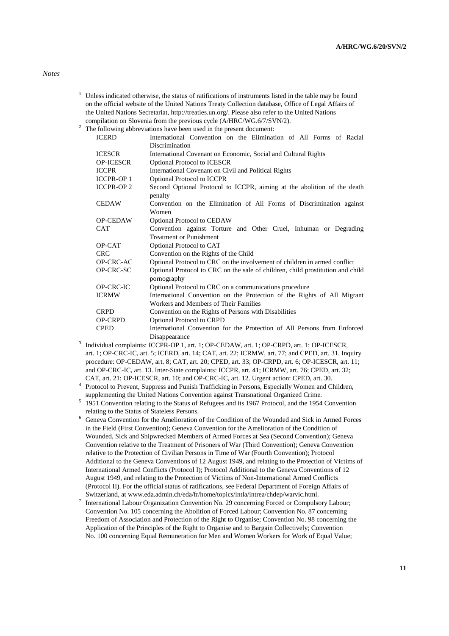#### *Notes*

- <sup>1</sup> Unless indicated otherwise, the status of ratifications of instruments listed in the table may be found on the official website of the United Nations Treaty Collection database, Office of Legal Affairs of the United Nations Secretariat, http://treaties.un.org/. Please also refer to the United Nations compilation on Slovenia from the previous cycle (A/HRC/WG.6/7/SVN/2).
- $\frac{1}{2}$  The following abbreviations have been used in the present document:

| <b>ICERD</b>      | International Convention on the Elimination of All Forms of Racial                            |
|-------------------|-----------------------------------------------------------------------------------------------|
|                   | Discrimination                                                                                |
| <b>ICESCR</b>     | International Covenant on Economic, Social and Cultural Rights                                |
| <b>OP-ICESCR</b>  | <b>Optional Protocol to ICESCR</b>                                                            |
| <b>ICCPR</b>      | International Covenant on Civil and Political Rights                                          |
| <b>ICCPR-OP1</b>  | <b>Optional Protocol to ICCPR</b>                                                             |
| <b>ICCPR-OP 2</b> | Second Optional Protocol to ICCPR, aiming at the abolition of the death<br>penalty            |
| <b>CEDAW</b>      | Convention on the Elimination of All Forms of Discrimination against<br>Women                 |
| <b>OP-CEDAW</b>   | <b>Optional Protocol to CEDAW</b>                                                             |
| <b>CAT</b>        | Convention against Torture and Other Cruel, Inhuman or Degrading                              |
|                   | <b>Treatment or Punishment</b>                                                                |
| OP-CAT            | Optional Protocol to CAT                                                                      |
| <b>CRC</b>        | Convention on the Rights of the Child                                                         |
| OP-CRC-AC         | Optional Protocol to CRC on the involvement of children in armed conflict                     |
| OP-CRC-SC         | Optional Protocol to CRC on the sale of children, child prostitution and child<br>pornography |
| OP-CRC-IC         | Optional Protocol to CRC on a communications procedure                                        |
| <b>ICRMW</b>      | International Convention on the Protection of the Rights of All Migrant                       |
|                   | Workers and Members of Their Families                                                         |
| <b>CRPD</b>       | Convention on the Rights of Persons with Disabilities                                         |
| <b>OP-CRPD</b>    | <b>Optional Protocol to CRPD</b>                                                              |
| <b>CPED</b>       | International Convention for the Protection of All Persons from Enforced                      |
|                   | Disappearance                                                                                 |
|                   | Individual complaints: ICCPR-OP 1, art. 1; OP-CEDAW, art. 1; OP-CRPD, art. 1; OP-ICESCR,      |

- art. 1; OP-CRC-IC, art. 5; ICERD, art. 14; CAT, art. 22; ICRMW, art. 77; and CPED, art. 31. Inquiry procedure: OP-CEDAW, art. 8; CAT, art. 20; CPED, art. 33; OP-CRPD, art. 6; OP-ICESCR, art. 11; and OP-CRC-IC, art. 13. Inter-State complaints: ICCPR, art. 41; ICRMW, art. 76; CPED, art. 32; CAT, art. 21; OP-ICESCR, art. 10; and OP-CRC-IC, art. 12. Urgent action: CPED, art. 30. 4
- Protocol to Prevent, Suppress and Punish Trafficking in Persons, Especially Women and Children,
- supplementing the United Nations Convention against Transnational Organized Crime.<br>
<sup>5</sup> 1951 Convention relating to the Status of Refugees and its 1967 Protocol, and the 1954 Convention
- relating to the Status of Stateless Persons. 6 Geneva Convention for the Amelioration of the Condition of the Wounded and Sick in Armed Forces in the Field (First Convention); Geneva Convention for the Amelioration of the Condition of Wounded, Sick and Shipwrecked Members of Armed Forces at Sea (Second Convention); Geneva Convention relative to the Treatment of Prisoners of War (Third Convention); Geneva Convention relative to the Protection of Civilian Persons in Time of War (Fourth Convention); Protocol Additional to the Geneva Conventions of 12 August 1949, and relating to the Protection of Victims of International Armed Conflicts (Protocol I); Protocol Additional to the Geneva Conventions of 12 August 1949, and relating to the Protection of Victims of Non-International Armed Conflicts (Protocol II). For the official status of ratifications, see Federal Department of Foreign Affairs of Switzerland, at www.eda.admin.ch/eda/fr/home/topics/intla/intrea/chdep/warvic.html. 7
- International Labour Organization Convention No. 29 concerning Forced or Compulsory Labour; Convention No. 105 concerning the Abolition of Forced Labour; Convention No. 87 concerning Freedom of Association and Protection of the Right to Organise; Convention No. 98 concerning the Application of the Principles of the Right to Organise and to Bargain Collectively; Convention No. 100 concerning Equal Remuneration for Men and Women Workers for Work of Equal Value;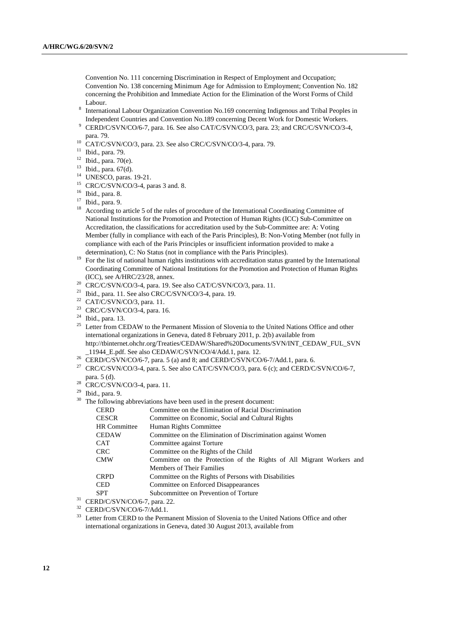Convention No. 111 concerning Discrimination in Respect of Employment and Occupation; Convention No. 138 concerning Minimum Age for Admission to Employment; Convention No. 182 concerning the Prohibition and Immediate Action for the Elimination of the Worst Forms of Child

- Labour.<br><sup>8</sup> International Labour Organization Convention No.169 concerning Indigenous and Tribal Peoples in Independent Countries and Convention No.189 concerning Decent Work for Domestic Workers. 9
- CERD/C/SVN/CO/6-7, para. 16. See also CAT/C/SVN/CO/3, para. 23; and CRC/C/SVN/CO/3-4,
- para. 79. 10 CAT/C/SVN/CO/3, para. 23. See also CRC/C/SVN/CO/3-4, para. 79.
- 11 Ibid., para. 79.
- $12$  Ibid., para. 70(e).
- 13 Ibid., para. 67(d).
- <sup>14</sup> UNESCO, paras. 19-21.
- 15 CRC/C/SVN/CO/3-4, paras 3 and. 8.
- 16 Ibid., para. 8.
- 17 Ibid., para. 9.
- <sup>18</sup> According to article 5 of the rules of procedure of the International Coordinating Committee of National Institutions for the Promotion and Protection of Human Rights (ICC) Sub-Committee on Accreditation, the classifications for accreditation used by the Sub-Committee are: A: Voting Member (fully in compliance with each of the Paris Principles), B: Non-Voting Member (not fully in compliance with each of the Paris Principles or insufficient information provided to make a
- determination), C: No Status (not in compliance with the Paris Principles).<br><sup>19</sup> For the list of national human rights institutions with accreditation status granted by the International Coordinating Committee of National Institutions for the Promotion and Protection of Human Rights
- (ICC), see A/HRC/23/28, annex. 20 CRC/C/SVN/CO/3-4, para. 19. See also CAT/C/SVN/CO/3, para. 11.
- 21 Ibid., para. 11. See also CRC/C/SVN/CO/3-4, para. 19.
- $22$  CAT/C/SVN/CO/3, para. 11.
- 23 CRC/C/SVN/CO/3-4, para. 16.
- 24 Ibid., para. 13.
- <sup>25</sup> Letter from CEDAW to the Permanent Mission of Slovenia to the United Nations Office and other international organizations in Geneva, dated 8 February 2011, p. 2(b) available from http://tbinternet.ohchr.org/Treaties/CEDAW/Shared%20Documents/SVN/INT\_CEDAW\_FUL\_SVN  $11944$ \_E.pdf. See also CEDAW/C/SVN/CO/4/Add.1, para. 12.<br><sup>26</sup> CERD/C/SVN/CO/6-7, para. 5 (a) and 8; and CERD/C/SVN/CO/6-7/Add.1, para. 6.<br><sup>27</sup> CRO/C/SVN/CO/2.4, para. 5. See also CAT/C/SVN/CO/2, para. 6.
- 
- 27 CRC/C/SVN/CO/3-4, para. 5. See also CAT/C/SVN/CO/3, para. 6 (c); and CERD/C/SVN/CO/6-7, para. 5 (d). 28 CRC/C/SVN/CO/3-4, para. 11.
- 
- 29 Ibid., para. 9.
- <sup>30</sup> The following abbreviations have been used in the present document:

| <b>CERD</b>      | Committee on the Elimination of Racial Discrimination                |
|------------------|----------------------------------------------------------------------|
| <b>CESCR</b>     | Committee on Economic, Social and Cultural Rights                    |
| HR Committee     | Human Rights Committee                                               |
| <b>CEDAW</b>     | Committee on the Elimination of Discrimination against Women         |
| <b>CAT</b>       | Committee against Torture                                            |
| <b>CRC</b>       | Committee on the Rights of the Child                                 |
| <b>CMW</b>       | Committee on the Protection of the Rights of All Migrant Workers and |
|                  | Members of Their Families                                            |
| <b>CRPD</b>      | Committee on the Rights of Persons with Disabilities                 |
| <b>CED</b>       | Committee on Enforced Disappearances                                 |
| <b>SPT</b>       | Subcommittee on Prevention of Torture                                |
| $P_{\mathbf{A}}$ |                                                                      |

 $31$  CERD/C/SVN/CO/6-7, para. 22.

 $^{32}$  CERD/C/SVN/CO/6-7/Add.1.<br> $^{33}$  Letter from CERD to the Bern

Letter from CERD to the Permanent Mission of Slovenia to the United Nations Office and other international organizations in Geneva, dated 30 August 2013, available from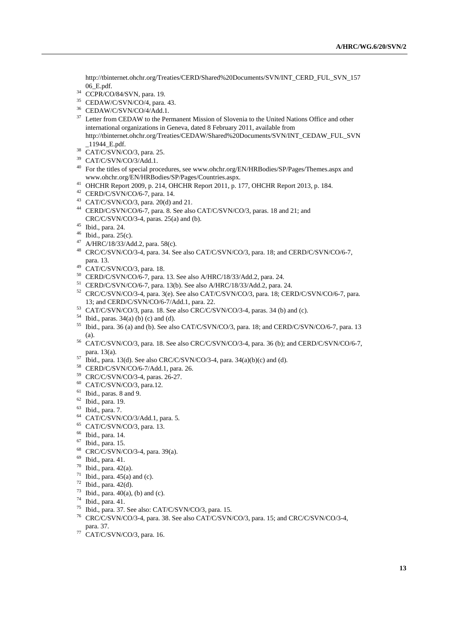http://tbinternet.ohchr.org/Treaties/CERD/Shared%20Documents/SVN/INT\_CERD\_FUL\_SVN\_157 06\_E.pdf.

- 34 CCPR/CO/84/SVN, para. 19.
- 35 CEDAW/C/SVN/CO/4, para. 43.
- 36 CEDAW/C/SVN/CO/4/Add.1.
- <sup>37</sup> Letter from CEDAW to the Permanent Mission of Slovenia to the United Nations Office and other international organizations in Geneva, dated 8 February 2011, available from http://tbinternet.ohchr.org/Treaties/CEDAW/Shared%20Documents/SVN/INT\_CEDAW\_FUL\_SVN \_11944\_E.pdf. 38 CAT/C/SVN/CO/3, para. 25.
- 
- $^{39}$  CAT/C/SVN/CO/3/Add.1.
- <sup>40</sup> For the titles of special procedures, see www.ohchr.org/EN/HRBodies/SP/Pages/Themes.aspx and www.ohchr.org/EN/HRBodies/SP/Pages/Countries.aspx.
- <sup>41</sup> OHCHR Report 2009, p. 214, OHCHR Report 2011, p. 177, OHCHR Report 2013, p. 184.
- 42 CERD/C/SVN/CO/6-7, para. 14.
- $43$  CAT/C/SVN/CO/3, para. 20(d) and 21.
- 44 CERD/C/SVN/CO/6-7, para. 8. See also CAT/C/SVN/CO/3, paras. 18 and 21; and CRC/C/SVN/CO/3-4, paras. 25(a) and (b). 45 Ibid., para. 24.
- 
- $46$  Ibid., para. 25(c).
- 47 A/HRC/18/33/Add.2, para. 58(c).
- 48 CRC/C/SVN/CO/3-4, para. 34. See also CAT/C/SVN/CO/3, para. 18; and CERD/C/SVN/CO/6-7, para. 13. 49 CAT/C/SVN/CO/3, para. 18.
- 
- 50 CERD/C/SVN/CO/6-7, para. 13. See also A/HRC/18/33/Add.2, para. 24.
- 51 CERD/C/SVN/CO/6-7, para. 13(b). See also A/HRC/18/33/Add.2, para. 24.
- <sup>52</sup> CRC/C/SVN/CO/3-4, para. 3(e). See also CAT/C/SVN/CO/3, para. 18; CERD/C/SVN/CO/6-7, para. 13; and CERD/C/SVN/CO/6-7/Add.1, para. 22.
- $153$  CAT/C/SVN/CO/3, para. 18. See also CRC/C/SVN/CO/3-4, paras. 34 (b) and (c).
- 54 Ibid., paras.  $34(a)$  (b) (c) and (d).
- <sup>55</sup> Ibid., para. 36 (a) and (b). See also CAT/C/SVN/CO/3, para. 18; and CERD/C/SVN/CO/6-7, para. 13
- (a).  $^{56}$  CAT/C/SVN/CO/3, para. 18. See also CRC/C/SVN/CO/3-4, para. 36 (b); and CERD/C/SVN/CO/6-7, para. 13(a). 57<br>Ibid., para. 13(d). See also CRC/C/SVN/CO/3-4, para. 34(a)(b)(c) and (d). 58 CERD/C/SVN/CO/6-7/Add.1, para. 26.<br>59 CRC/C/SVN/CO/3-4, paras. 26-27.
- 
- 
- 
- 60 CAT/C/SVN/CO/3, para.12.
- 61 Ibid., paras. 8 and 9.
- $62$  Ibid., para. 19.
- 63 Ibid., para. 7.
- 64 CAT/C/SVN/CO/3/Add.1, para. 5.
- 65 CAT/C/SVN/CO/3, para. 13.
- 66 Ibid., para. 14.
- 67 Ibid., para. 15.
- 68 CRC/C/SVN/CO/3-4, para. 39(a).
- 69 Ibid., para. 41.
- 70 Ibid., para. 42(a).
- $71$  Ibid., para. 45(a) and (c).
- $72$  Ibid., para. 42(d).
- $73$  Ibid., para. 40(a), (b) and (c).
- $74$  Ibid., para. 41.
- 75 Ibid., para. 37. See also: CAT/C/SVN/CO/3, para. 15.
- CRC/C/SVN/CO/3-4, para. 38. See also CAT/C/SVN/CO/3, para. 15; and CRC/C/SVN/CO/3-4, para. 37.
- $77$  CAT/C/SVN/CO/3, para. 16.